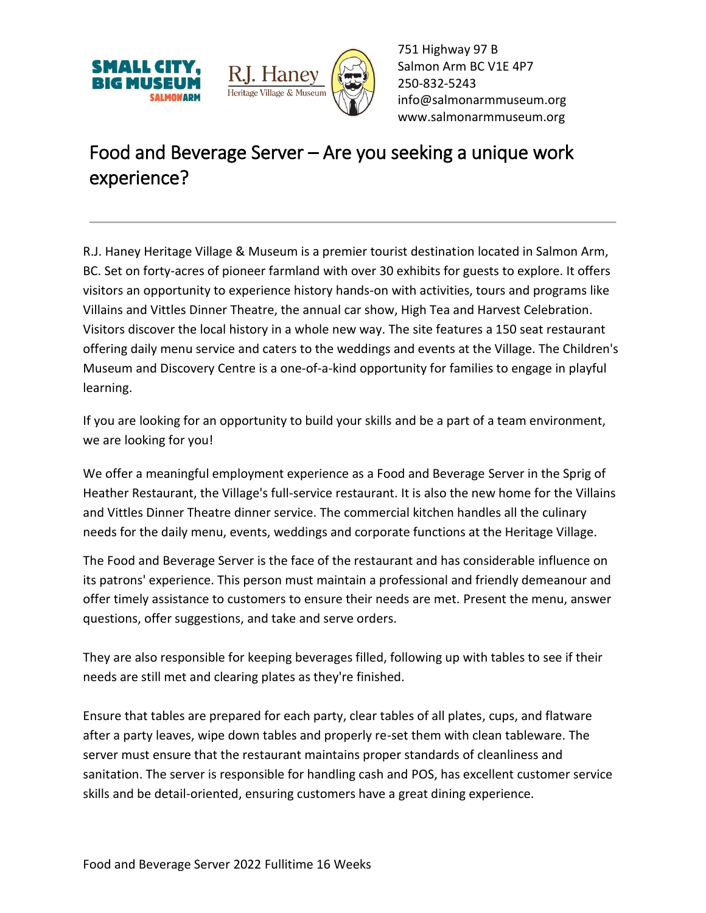



751 Highway 97 B Salmon Arm BC V1E 4P7 250-832-5243 [info@salmonarmmuseum.org](mailto:info@salmonarmmuseum.org) www.salmonarmmuseum.org

## Food and Beverage Server – Are you seeking a unique work experience?

R.J. Haney Heritage Village & Museum is a premier tourist destination located in Salmon Arm, BC. Set on forty-acres of pioneer farmland with over 30 exhibits for guests to explore. It offers visitors an opportunity to experience history hands-on with activities, tours and programs like Villains and Vittles Dinner Theatre, the annual car show, High Tea and Harvest Celebration. Visitors discover the local history in a whole new way. The site features a 150 seat restaurant offering daily menu service and caters to the weddings and events at the Village. The Children's Museum and Discovery Centre is a one-of-a-kind opportunity for families to engage in playful learning.

If you are looking for an opportunity to build your skills and be a part of a team environment, we are looking for you!

We offer a meaningful employment experience as a Food and Beverage Server in the Sprig of Heather Restaurant, the Village's full-service restaurant. It is also the new home for the Villains and Vittles Dinner Theatre dinner service. The commercial kitchen handles all the culinary needs for the daily menu, events, weddings and corporate functions at the Heritage Village.

The Food and Beverage Server is the face of the restaurant and has considerable influence on its patrons' experience. This person must maintain a professional and friendly demeanour and offer timely assistance to customers to ensure their needs are met. Present the menu, answer questions, offer suggestions, and take and serve orders.

They are also responsible for keeping beverages filled, following up with tables to see if their needs are still met and clearing plates as they're finished.

Ensure that tables are prepared for each party, clear tables of all plates, cups, and flatware after a party leaves, wipe down tables and properly re-set them with clean tableware. The server must ensure that the restaurant maintains proper standards of cleanliness and sanitation. The server is responsible for handling cash and POS, has excellent customer service skills and be detail-oriented, ensuring customers have a great dining experience.